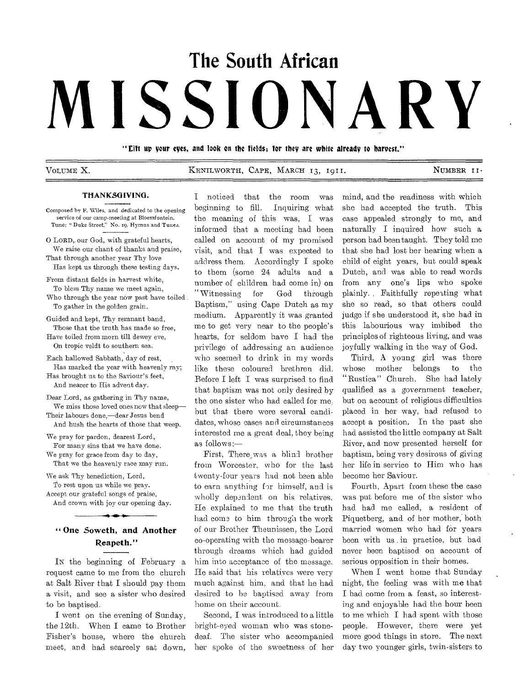# **The South African MISSIONARY**

"tilt up your eyes, and look on the fields; for they are white already to harvest."

VOLUME X. KENILWORTH, CAPE, MARCH 13, 1911. NUMBER II.

## THANKSGIVING.

Composed by F. Wiles, and dedicated to the opening service of our camp-meeting at Bloemfontein. Tune; "Duke Street," No. 19, Hymns and Tunes.

0 LORD,. our God, with grateful hearts, We raise our chant of thanks and **praise,**  That through another year Thy **love** 

Has kept us through these testing **days.**  From distant fields in **harvest** white,

To bless Thy name we meet again, Who through the year now past have toiled To gather in the golden grain.

Guided and kept, Thy remnant band, Those that the truth has made so free, Have toiled from morn till dewey eve, On tropic veldt to southern sea.

Each hallowed Sabbath, day of **rest, Has marked** the year with **heavenly ray;**  Has brought us to the Saviour's **feet,** 

And nearer to His advent day. Dear Lord, **as** gathering in Thy name,

We miss those loved ones now that sleep— Their labours done,—dear Jesus bend

And hush the hearts of those that weep.

We pray for pardon, dearest Lord, For **many** sins that we have **done.**  We pray for grace from day **to day,**  That we the heavenly race **may run.** 

**We ask** Thy benediction, Lord, **To** rest upon us while we pray. Accept our grateful songs of praise, And crown with joy our opening day.

# **One Soweth, and Another Reapeth."**

**IN** the beginning of February a request came to me from the church at Salt River that I should pay them a visit, and see a sister who desired to be baptised.

I went on the evening of Sunday, the 12th. When I came to Brother Fisher's house, where the church meet, and had scarcely sat down, I noticed that the room was beginning to fill. Inquiring what the meaning of this was, I was informed that a meeting had been called on account of my promised visit, and that I was expected to address them. Accordingly I spoke to them (some 24 adults and a number of children had come in) on "Witnessing for God through Baptism," using Cape Dutch as my medium. Apparently it was granted me to get very near to the people's hearts, for seldom have I had the privilege of addressing an audience who seemed to drink in my words like these coloured brethren did. Before I left I was surprised to find that baptism was not only desired by the one sister who had called for but that there were several candidates, whose cases and circumstances interested me a great deal, they being as follows:—

First, There\_was a blind brother from Worcester, who for the last twenty-four years had not been able to earn anything for himself, and is wholly dependent on his relatives. He explained to me that the truth had come to him through the work of our Brother Theunissen, the Lord co-operating with the message-bearer through dreams which had guided him into acceptance of the message. He said that his relatives were very much against him, and that he had desired to be baptised away from home on their account.

Second, I was introduced to a little bright-eyed woman who was stonedeaf. The sister who accompanied her spoke of the sweetness of her

mind, and the readiness with which she had accepted the truth. This case appealed strongly to me, and naturally I inquired how such a person had been taught. They told me that she had lost her hearing when a child of eight years, but could speak Dutch, and was able to read words from any one's lips who spoke plainly. , Faithfully repeating what she so read, so that others could judge if she understood it, she had in this labourious way imbibed the principles of righteous living, and was joyfully walking in the way of God.

Third, A young girl was there whose mother belongs to the "Rustica" Church. She had lately qualified as a government teacher, but on account of religious difficulties placed in her way, had refused to accept a position. In the past she had assisted the little company at Salt River, and now presented herself for baptism, being very desirous of giving her life in service to Him who has become her Saviour.

Fourth, Apart from these the case was put before me of the sister who had had me called, a resident of Piquetberg, and of her mother, both married women who had for years been with us in practice, but had never been baptised on account of serious opposition in their homes.

When I went home that Sunday night, the feeling was with me that I had come from a feast, so interesting and enjoyable had the hour been to me which I had spent with those people. However, there were yet more good things in store. The next day two younger girls, twin-sisters to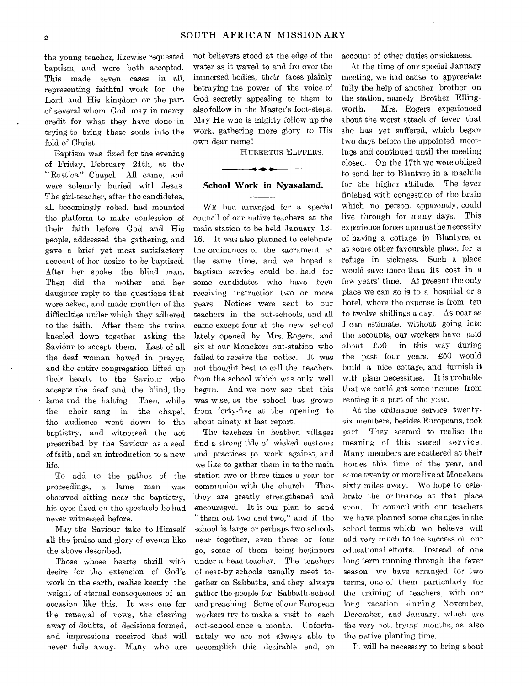the young teacher, likewise requested baptism, and were both accepted. This made seven cases in all, representing faithful work for the Lord and His kingdom on the part of several whom God may in mercy credit for what they have done in trying to bring these souls into the fold of Christ.

Baptism was fixed for the evening of Friday, February 24th, at the "Rustica" Chapel. All came, and were solemnly buried with Jesus. The girl-teacher, after the candidates, all becomingly robed, had mounted the platform to make confession of their faith before God and His people, addressed the gathering, and gave a brief yet most satisfactory account of her desire to be baptised. After her spoke the blind man. Then did the mother and her daughter reply to the questions that were asked, and made mention of the difficulties under which they adhered to the faith. After them the twins kneeled down together asking the Saviour to accept them. Last of all the deaf woman bowed in prayer, and the entire congregation lifted up their hearts to the Saviour who accepts the deaf and the blind, the lame and the halting. Then, while the choir sang in the chapel, the audience went down to the baptistry, and witnessed the act prescribed by the Saviour as a seal of faith, and an introduction to a new life.

To add to the pathos of the proceedings, a lame man was observed sitting near the baptistry, his eyes fixed on the spectacle he had never witnessed before.

May the Saviour take to Himself all the braise and glory of events like the above described.

Those whose hearts thrill with desire for the extension of God's work in the earth, realise keenly the weight of eternal consequences of an occasion like this. It was one for the renewal of vows, the clearing away of doubts, of decisions formed, and impressions received that will never fade away. Many who are

not believers stood at the edge of the water as it waved to and fro over the immersed bodies, their faces plainly betraying the power of the voice of God secretly appealing to them to also follow in the Master's foot-steps. May He who is mighty follow up the work, gathering more glory to His own dear name!

HUBERTUS ELFFERS.

### **School Work in Nyasaland.**

WE had arranged for a special council of our native teachers at the main station to be held January 13- 16. It was also planned to celebrate the ordinances of the sacrament at the same time, and we hoped a baptism service could be . held for some candidates who have been receiving instruction two or more years. Notices were sent to our teachers in the out-schools, and all came except four at the new school lately opened by Mrs. Rogers, and six at our Monekera out-station who failed to receive the notice. It was not thought best to call the teachers from the school which was only well begun. And we now see that this was wise, as the school has grown from forty-five at the opening to about ninety at last report.

The teachers in heathen villages find a strong tide of wicked customs and practices to work against, and we like to gather them in to the main station two or three times a year for communion with the church. Thus they are greatly strengthened and encouraged. It is our plan to send "them out two and two," and if the school is large or perhaps two schools near together, even three or four go, some of them being beginners under a head teacher. The teachers of near-by schools usually meet together on Sabbaths, and they always gather the-people for Sabbath-school and preaching. Some of our European workers try to make a visit to each out-school once a month. Unfortunately we are not always able to accomplish this desirable end, on

account of other duties or sickness.

At the time of our special January meeting, we had cause to appreciate fully the help of another brother on the station, namely Brother Ellingworth. Mrs. Rogers experienced about the worst attack of fever that she has yet suffered, which began two days before the appointed meetings and continued until the meeting closed. On the 17th we were obliged to send her to Blantyre in a machila for the higher altitude. The fever finished with congestion of the brain which no person, apparently, could live through for many days. This experience forces upon us the necessity of having a cottage in Blantyre, or at some other favourable place, for a refuge in sickness. Such a place would save more than its cost in a few years' time. At present the only place we can go is to a hospital or a hotel, where the expense is from ten to twelve shillings a day. As near as I can estimate, without going into the accounts, our workers have paid about £50 in this way during the past four years. £50 would build a nice cottage, and furnish it with plain necessities. It is probable that we could get some income from renting it a part of the year.

At the ordinance service twentysix members, besides Europeans, took part. They seemed to realise the meaning of this sacred service. Many members-are scattered at their homes this time of the year, and some twenty or more live at Monekera sixty miles away. We hope to celebrate the ordinance at that place soon. In council with our teachers we have planned some changes in the school terms which we believe will add very much to the success of our educational efforts. Instead of one long term running through the fever season, we have arranged for two terms, one of them particularly for the training of teachers, with our long vacation during November, December, and January, which are the very hot, trying months, as also the native planting time.

It will be necessary to bring about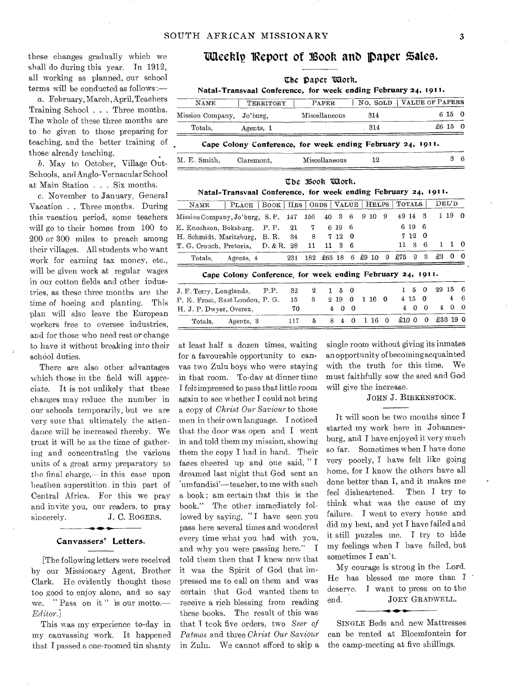these changes gradually which we shall do during this year. In 1912, all working as planned, our school terms will be conducted as follows:—

a. February, March, April, Teachers Training School . . . Three months. The whole of these three months are to he given to those preparing for teaching, and the better training of those already teaching.

b. May to October, Village Out-Schools, and Anglo-Vernacular School at Main Station . . . Six months.

c. November to January, General Vacation . . Three months. During this vacation period, some teachers will go to their homes from 100 to 200 or 300 miles to preach among their villages. All students who want work for earning tax money, etc., will be given work at regular wages in our cotton fields and other industries, as these three months are the time of hoeing and planting. This plan will also leave the European workers free to oversee industries, and for those who need rest or change to have it without breaking into their school duties.

There are also other advantages which those in the field will appreciate. It is not unlikely that these changes may reduce the number in our schools temporarily, but we are very sure that ultimately the attendance will be increased thereby. We trust it will be as the time of gathering and concentrating the various units of a great army preparatory to the final charge,—in this case upon heathen superstition. in this part of Central Africa. For this we pray and invite you, our readers, to pray sincerely. J. C. ROGERS.

#### Canvassers' Letters.

[The following letters were received by our Missionary Agent, Brother Clark. He evidently thought these too good to enjoy alone, and so say we. " Pass on it " is our motto.— *Editor]* 

This was my experience to-day in my canvassing work. It happened that I passed a one-roomed tin shanty

# Weekly Report of Book and Paper Sales.

|                  |            | The paper Work.                                                         |                            |         |    |
|------------------|------------|-------------------------------------------------------------------------|----------------------------|---------|----|
| <b>NAME</b>      | TERRITORY  | Natal=Transvaal Conference, for week ending February 24, 1911.<br>PAPER | NO. SOLD   VALUE OF PAPERS |         |    |
| Mission Company, | Jo'burg,   | Miscellaneous                                                           | 314                        | 6 15 0  |    |
| Totals.          | Agents, 1  |                                                                         | . 314                      | £6 15 0 |    |
|                  |            | Cape Colony Conference, for week ending February 24, 1911.              |                            |         |    |
| M. E. Smith.     | Claremont. | Miscellaneous                                                           | 12                         |         | £6 |

|                                                                |                                   | The Book Work. |     |          |      |          |         |     |        |              |          |              |          |          |
|----------------------------------------------------------------|-----------------------------------|----------------|-----|----------|------|----------|---------|-----|--------|--------------|----------|--------------|----------|----------|
| Natal-Transvaal Conference, for week ending February 24, 1911. |                                   |                |     |          |      |          |         |     |        |              |          |              |          |          |
| PLACE 1<br>NAME                                                | BOOK   HRS   ORDS   VALUE   HELPS |                |     |          |      |          |         |     | TOTALS |              |          |              | DEL'D    |          |
| Mission Company, Jo'burg, S.P.                                 |                                   | 147            | 156 | 40       | 3    | 6        | $9\,10$ | 9   |        | 49 14        | - 3      |              | 1 19     | $\Omega$ |
| E. Enochson, Boksburg,                                         | P.P.                              | 21             | 7.  |          | 6 19 | 6        |         |     |        | 6 19         | -6       |              |          |          |
| H. Schmidt, Maritzburg,                                        | B. R.                             | 34             | 8   |          | 712  | -0       |         |     |        | 712          | -0       |              |          |          |
| T. G. Crouch, Pretoria,                                        | D. & R. 28                        |                | 11  | 11       | з    | -6       |         |     |        | $11 \quad 3$ | -6       | $\mathbf{1}$ | 1        | -0       |
| Totals.<br>Agents, 4                                           |                                   | 231            | 182 | $£65$ 18 |      | 6        | $£9$ 10 | -9  | £75    | 9            | 3        | £3           | 0        | 0        |
| Cape Colony Conference, for week ending February 24, 1911.     |                                   |                |     |          |      |          |         |     |        |              |          |              |          |          |
| J. F. Terry, Longlands,                                        | P.P.                              | 32             | 2   | 1        | 5    | $\Omega$ |         |     |        | 5            | $\Omega$ | 29           | 15       | 6        |
| P. E. Frost, East London, P. G.                                |                                   | 15             | 3   |          | 2 19 | $\Omega$ | 1 16    | - 0 |        | 415          | $\Omega$ |              | 4        | 6        |
| H. J. P. Dwyer, Overex,                                        |                                   | 70             |     | 4        | 0    | $\Omega$ |         |     | 4      | ∩            | $\Omega$ | 4            | $\Omega$ | -0       |

Totals, Agents, 3 117 5 8 4 0 1 16 0 £10 0 0 £33 19 0

at least half a dozen times, waiting for a favourable opportunity to canvas two Zulu boys who were staying in that room. To-day at dinner time I felt impressed to pass that little room again to see whether I could not bring a copy of *Christ Our Saviour* to those men in their own language. I noticed that the door was open and I went in and told them my mission, showing them the copy I had in hand. Their faces cheered up and one said, " I dreamed last night that God sent an `umfundisi'—teacher, to me with such a book ; am certain that this is the book." The other immediately followed by saying, "I have seen you pass here several times and wondered every time what you had with you, and why you were passing here." I told them then that I knew now that it was the Spirit of God that impressed me to call on them and was certain that God wanted them to receive a rich blessing from reading these books. The result of this was that T took five orders, two *Seer of Patinos* and three *Christ Our Saviour*  in Zulu. We cannot afford to skip a

single room without giving its inmates an opportunity of becoming acquainted with the truth for this time. We must faithfully sow the seed and God will give the increase.

#### JOHN J. BIRKENSTOCK.

It will soon be two months since I started my work here in Johannesburg, and I have enjoyed it very much so far. Sometimes when I have done very poorly, I have felt like going home, for I know the others have all done better than I, and it makes me feel disheartened. Then I try to think what was the cause of my failure. I went to every house and did my best, and yet I have failed and it still puzzles me. I try to hide my feelings when I have failed, but sometimes I can't.

My courage is strong in the Lord. He has blessed me more than I deserve. I want to press on to the end. JOEY GRADWELL.

SINGLE Beds and new Mattresses can be rented at Bloemfontein for the camp-meeting at five shillings.